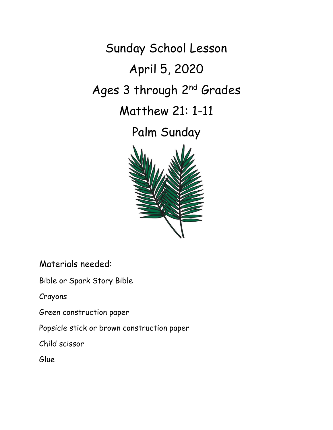Sunday School Lesson April 5, 2020 Ages 3 through 2<sup>nd</sup> Grades Matthew 21: 1-11

Palm Sunday



Materials needed:

Bible or Spark Story Bible

Crayons

Green construction paper

Popsicle stick or brown construction paper

Child scissor

Glue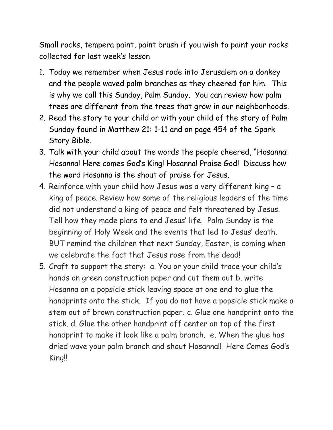Small rocks, tempera paint, paint brush if you wish to paint your rocks collected for last week's lesson

- 1. Today we remember when Jesus rode into Jerusalem on a donkey and the people waved palm branches as they cheered for him. This is why we call this Sunday, Palm Sunday. You can review how palm trees are different from the trees that grow in our neighborhoods.
- 2. Read the story to your child or with your child of the story of Palm Sunday found in Matthew 21: 1-11 and on page 454 of the Spark Story Bible.
- 3. Talk with your child about the words the people cheered, "Hosanna! Hosanna! Here comes God's King! Hosanna! Praise God! Discuss how the word Hosanna is the shout of praise for Jesus.
- 4. Reinforce with your child how Jesus was a very different king a king of peace. Review how some of the religious leaders of the time did not understand a king of peace and felt threatened by Jesus. Tell how they made plans to end Jesus' life. Palm Sunday is the beginning of Holy Week and the events that led to Jesus' death. BUT remind the children that next Sunday, Easter, is coming when we celebrate the fact that Jesus rose from the dead!
- 5. Craft to support the story: a. You or your child trace your child's hands on green construction paper and cut them out b. write Hosanna on a popsicle stick leaving space at one end to glue the handprints onto the stick. If you do not have a popsicle stick make a stem out of brown construction paper. c. Glue one handprint onto the stick. d. Glue the other handprint off center on top of the first handprint to make it look like a palm branch. e. When the glue has dried wave your palm branch and shout Hosanna!! Here Comes God's King!!